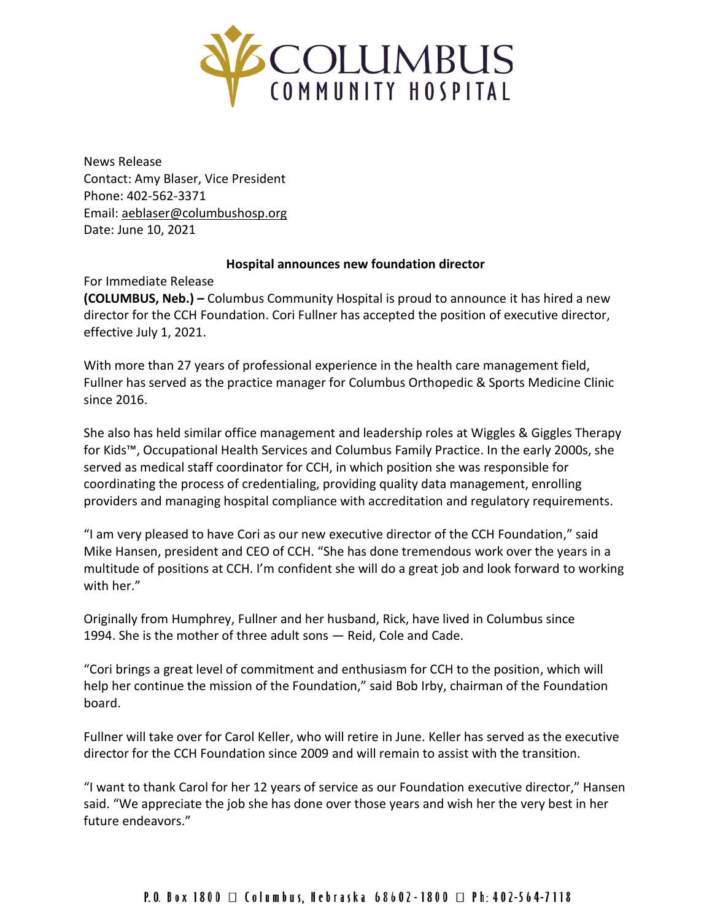

News Release Contact: Amy Blaser, Vice President Phone: 402-562-3371 Email: [aeblaser@columbushosp.org](mailto:aeblaser@columbushosp.org) Date: June 10, 2021

## **Hospital announces new foundation director**

For Immediate Release **(COLUMBUS, Neb.) –** Columbus Community Hospital is proud to announce it has hired a new director for the CCH Foundation. Cori Fullner has accepted the position of executive director, effective July 1, 2021.

With more than 27 years of professional experience in the health care management field, Fullner has served as the practice manager for Columbus Orthopedic & Sports Medicine Clinic since 2016.

She also has held similar office management and leadership roles at Wiggles & Giggles Therapy for Kids™, Occupational Health Services and Columbus Family Practice. In the early 2000s, she served as medical staff coordinator for CCH, in which position she was responsible for coordinating the process of credentialing, providing quality data management, enrolling providers and managing hospital compliance with accreditation and regulatory requirements.

"I am very pleased to have Cori as our new executive director of the CCH Foundation," said Mike Hansen, president and CEO of CCH. "She has done tremendous work over the years in a multitude of positions at CCH. I'm confident she will do a great job and look forward to working with her."

Originally from Humphrey, Fullner and her husband, Rick, have lived in Columbus since 1994. She is the mother of three adult sons — Reid, Cole and Cade.

"Cori brings a great level of commitment and enthusiasm for CCH to the position, which will help her continue the mission of the Foundation," said Bob Irby, chairman of the Foundation board.

Fullner will take over for Carol Keller, who will retire in June. Keller has served as the executive director for the CCH Foundation since 2009 and will remain to assist with the transition.

"I want to thank Carol for her 12 years of service as our Foundation executive director," Hansen said. "We appreciate the job she has done over those years and wish her the very best in her future endeavors."